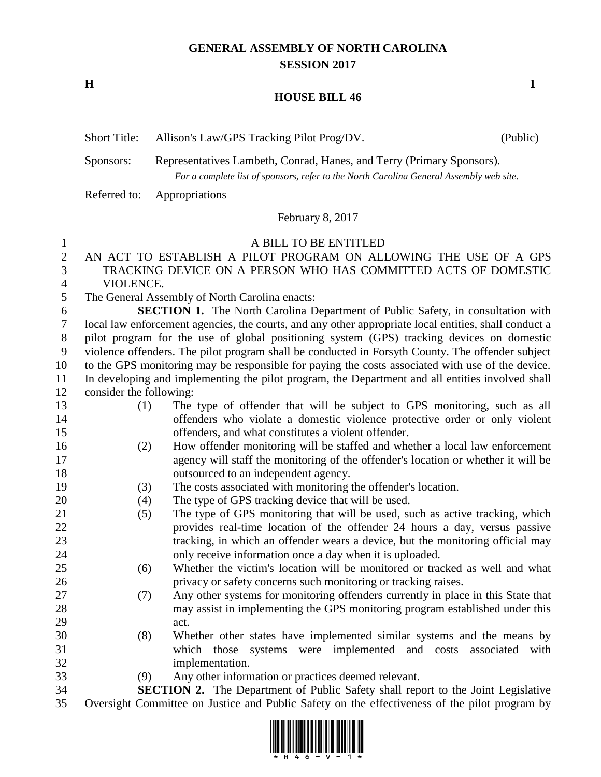## **GENERAL ASSEMBLY OF NORTH CAROLINA SESSION 2017**

**H 1**

## **HOUSE BILL 46**

| <b>Short Title:</b> | Allison's Law/GPS Tracking Pilot Prog/DV.                                                                                                                        | (Public) |
|---------------------|------------------------------------------------------------------------------------------------------------------------------------------------------------------|----------|
| Sponsors:           | Representatives Lambeth, Conrad, Hanes, and Terry (Primary Sponsors).<br>For a complete list of sponsors, refer to the North Carolina General Assembly web site. |          |
|                     | Referred to: Appropriations                                                                                                                                      |          |

February 8, 2017

## A BILL TO BE ENTITLED

- AN ACT TO ESTABLISH A PILOT PROGRAM ON ALLOWING THE USE OF A GPS TRACKING DEVICE ON A PERSON WHO HAS COMMITTED ACTS OF DOMESTIC
- VIOLENCE.
- The General Assembly of North Carolina enacts:

 **SECTION 1.** The North Carolina Department of Public Safety, in consultation with local law enforcement agencies, the courts, and any other appropriate local entities, shall conduct a pilot program for the use of global positioning system (GPS) tracking devices on domestic violence offenders. The pilot program shall be conducted in Forsyth County. The offender subject to the GPS monitoring may be responsible for paying the costs associated with use of the device. In developing and implementing the pilot program, the Department and all entities involved shall consider the following:

- (1) The type of offender that will be subject to GPS monitoring, such as all offenders who violate a domestic violence protective order or only violent offenders, and what constitutes a violent offender.
- (2) How offender monitoring will be staffed and whether a local law enforcement agency will staff the monitoring of the offender's location or whether it will be 18 outsourced to an independent agency.
- (3) The costs associated with monitoring the offender's location.
- (4) The type of GPS tracking device that will be used.
- (5) The type of GPS monitoring that will be used, such as active tracking, which provides real-time location of the offender 24 hours a day, versus passive tracking, in which an offender wears a device, but the monitoring official may only receive information once a day when it is uploaded.
- (6) Whether the victim's location will be monitored or tracked as well and what privacy or safety concerns such monitoring or tracking raises.
- (7) Any other systems for monitoring offenders currently in place in this State that may assist in implementing the GPS monitoring program established under this 29 act.
- (8) Whether other states have implemented similar systems and the means by which those systems were implemented and costs associated with implementation.
- (9) Any other information or practices deemed relevant.

 **SECTION 2.** The Department of Public Safety shall report to the Joint Legislative Oversight Committee on Justice and Public Safety on the effectiveness of the pilot program by